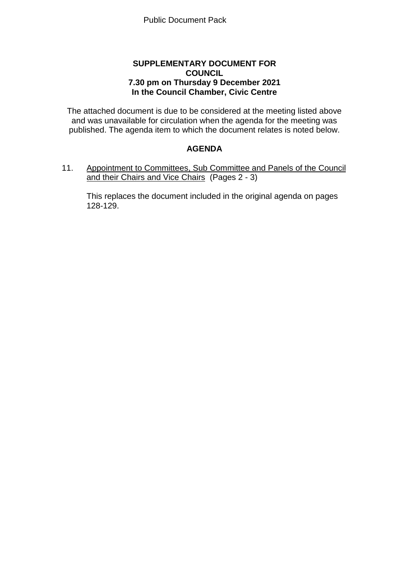## **SUPPLEMENTARY DOCUMENT FOR COUNCIL 7.30 pm on Thursday 9 December 2021 In the Council Chamber, Civic Centre**

The attached document is due to be considered at the meeting listed above and was unavailable for circulation when the agenda for the meeting was published. The agenda item to which the document relates is noted below.

## **AGENDA**

11. Appointment to Committees, Sub Committee and Panels of the Council and their Chairs and Vice Chairs (Pages 2 - 3)

This replaces the document included in the original agenda on pages 128-129.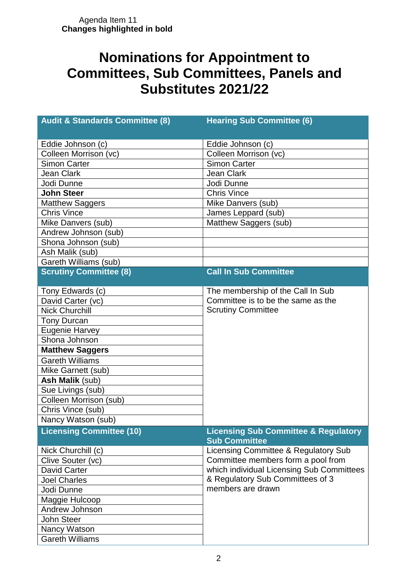## **Nominations for Appointment to Committees, Sub Committees, Panels and Substitutes 2021/22**

| <b>Audit &amp; Standards Committee (8)</b> | <b>Hearing Sub Committee (6)</b>                                        |
|--------------------------------------------|-------------------------------------------------------------------------|
| Eddie Johnson (c)                          | Eddie Johnson (c)                                                       |
| Colleen Morrison (vc)                      | Colleen Morrison (vc)                                                   |
| <b>Simon Carter</b>                        | <b>Simon Carter</b>                                                     |
| <b>Jean Clark</b>                          | <b>Jean Clark</b>                                                       |
| Jodi Dunne                                 | Jodi Dunne                                                              |
| <b>John Steer</b>                          | <b>Chris Vince</b>                                                      |
| <b>Matthew Saggers</b>                     | Mike Danvers (sub)                                                      |
| <b>Chris Vince</b>                         | James Leppard (sub)                                                     |
| Mike Danvers (sub)                         | Matthew Saggers (sub)                                                   |
| Andrew Johnson (sub)                       |                                                                         |
| Shona Johnson (sub)                        |                                                                         |
| Ash Malik (sub)                            |                                                                         |
| Gareth Williams (sub)                      |                                                                         |
| <b>Scrutiny Committee (8)</b>              | <b>Call In Sub Committee</b>                                            |
| Tony Edwards (c)                           | The membership of the Call In Sub                                       |
| David Carter (vc)                          | Committee is to be the same as the                                      |
| <b>Nick Churchill</b>                      | <b>Scrutiny Committee</b>                                               |
| <b>Tony Durcan</b>                         |                                                                         |
| <b>Eugenie Harvey</b>                      |                                                                         |
| Shona Johnson                              |                                                                         |
| <b>Matthew Saggers</b>                     |                                                                         |
| <b>Gareth Williams</b>                     |                                                                         |
| Mike Garnett (sub)                         |                                                                         |
| Ash Malik (sub)                            |                                                                         |
| Sue Livings (sub)                          |                                                                         |
| Colleen Morrison (sub)                     |                                                                         |
| Chris Vince (sub)                          |                                                                         |
| Nancy Watson (sub)                         |                                                                         |
| <b>Licensing Committee (10)</b>            | <b>Licensing Sub Committee &amp; Regulatory</b><br><b>Sub Committee</b> |
| Nick Churchill (c)                         | Licensing Committee & Regulatory Sub                                    |
| Clive Souter (vc)                          | Committee members form a pool from                                      |
| <b>David Carter</b>                        | which individual Licensing Sub Committees                               |
| <b>Joel Charles</b>                        | & Regulatory Sub Committees of 3                                        |
| Jodi Dunne                                 | members are drawn                                                       |
| Maggie Hulcoop                             |                                                                         |
| Andrew Johnson                             |                                                                         |
| <b>John Steer</b>                          |                                                                         |
| Nancy Watson                               |                                                                         |
| <b>Gareth Williams</b>                     |                                                                         |